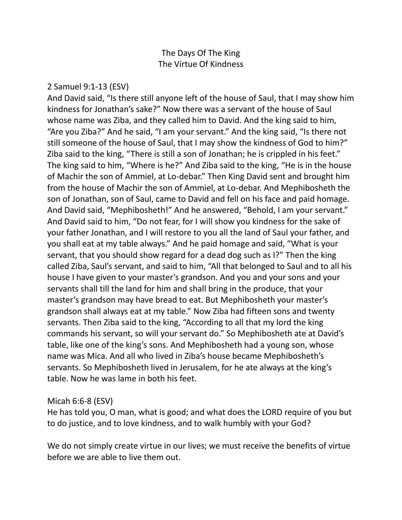# The Days Of The King The Virtue Of Kindness

#### 2 Samuel 9:1-13 (ESV)

And David said, "Is there still anyone left of the house of Saul, that I may show him kindness for Jonathan's sake?" Now there was a servant of the house of Saul whose name was Ziba, and they called him to David. And the king said to him, "Are you Ziba?" And he said, "I am your servant." And the king said, "Is there not still someone of the house of Saul, that I may show the kindness of God to him?" Ziba said to the king, "There is still a son of Jonathan; he is crippled in his feet." The king said to him, "Where is he?" And Ziba said to the king, "He is in the house of Machir the son of Ammiel, at Lo-debar." Then King David sent and brought him from the house of Machir the son of Ammiel, at Lo-debar. And Mephibosheth the son of Jonathan, son of Saul, came to David and fell on his face and paid homage. And David said, "Mephibosheth!" And he answered, "Behold, I am your servant." And David said to him, "Do not fear, for I will show you kindness for the sake of your father Jonathan, and I will restore to you all the land of Saul your father, and you shall eat at my table always." And he paid homage and said, "What is your servant, that you should show regard for a dead dog such as I?" Then the king called Ziba, Saul's servant, and said to him, "All that belonged to Saul and to all his house I have given to your master's grandson. And you and your sons and your servants shall till the land for him and shall bring in the produce, that your master's grandson may have bread to eat. But Mephibosheth your master's grandson shall always eat at my table." Now Ziba had fifteen sons and twenty servants. Then Ziba said to the king, "According to all that my lord the king commands his servant, so will your servant do." So Mephibosheth ate at David's table, like one of the king's sons. And Mephibosheth had a young son, whose name was Mica. And all who lived in Ziba's house became Mephibosheth's servants. So Mephibosheth lived in Jerusalem, for he ate always at the king's table. Now he was lame in both his feet.

#### Micah 6:6-8 (ESV)

He has told you, O man, what is good; and what does the LORD require of you but to do justice, and to love kindness, and to walk humbly with your God?

We do not simply create virtue in our lives; we must receive the benefits of virtue before we are able to live them out.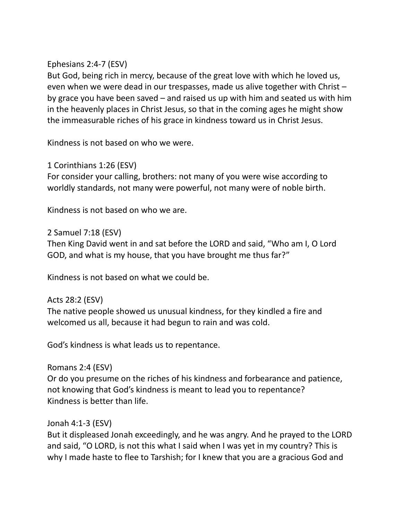## Ephesians 2:4-7 (ESV)

But God, being rich in mercy, because of the great love with which he loved us, even when we were dead in our trespasses, made us alive together with Christ – by grace you have been saved – and raised us up with him and seated us with him in the heavenly places in Christ Jesus, so that in the coming ages he might show the immeasurable riches of his grace in kindness toward us in Christ Jesus.

Kindness is not based on who we were.

### 1 Corinthians 1:26 (ESV)

For consider your calling, brothers: not many of you were wise according to worldly standards, not many were powerful, not many were of noble birth.

Kindness is not based on who we are.

### 2 Samuel 7:18 (ESV)

Then King David went in and sat before the LORD and said, "Who am I, O Lord GOD, and what is my house, that you have brought me thus far?"

Kindness is not based on what we could be.

### Acts 28:2 (ESV)

The native people showed us unusual kindness, for they kindled a fire and welcomed us all, because it had begun to rain and was cold.

God's kindness is what leads us to repentance.

#### Romans 2:4 (ESV)

Or do you presume on the riches of his kindness and forbearance and patience, not knowing that God's kindness is meant to lead you to repentance? Kindness is better than life.

### Jonah 4:1-3 (ESV)

But it displeased Jonah exceedingly, and he was angry. And he prayed to the LORD and said, "O LORD, is not this what I said when I was yet in my country? This is why I made haste to flee to Tarshish; for I knew that you are a gracious God and